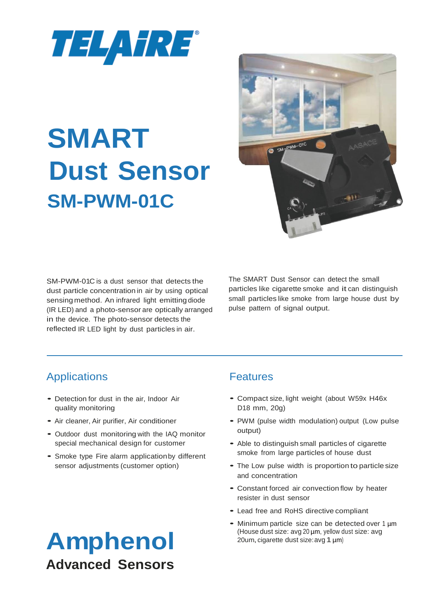

# **SMART Dust Sensor SM-PWM-01C**



SM-PWM-01C is a dust sensor that detects the dust particle concentration in air by using optical sensing method. An infrared light emitting diode (IR LED) and a photo-sensor are optically arranged in the device. The photo-sensor detects the reflected IR LED light by dust particles in air.

The SMART Dust Sensor can detect the small particles like cigarette smoke and it can distinguish small particles like smoke from large house dust by pulse pattern of signal output.

# Applications

- Detection for dust in the air, Indoor Air quality monitoring
- Air cleaner, Air purifier, Air conditioner
- Outdoor dust monitoring with the IAQ monitor special mechanical design for customer
- Smoke type Fire alarm applicationby different sensor adjustments (customer option)

### Features

- Compact size, light weight (about W59x H46x D18 mm, 20g)
- PWM (pulse width modulation) output (Low pulse output)
- Able to distinguish small particles of cigarette smoke from large particles of house dust
- The Low pulse width is proportion to particle size and concentration
- Constant forced air convection flow by heater resister in dust sensor
- Lead free and RoHS directive compliant
- Minimum particle size can be detected over 1 um (House dust size: avg 20 µm, yellow dust size: avg 20um,cigarette dust size:avg 1 µm)

# **Amphenol Advanced Sensors**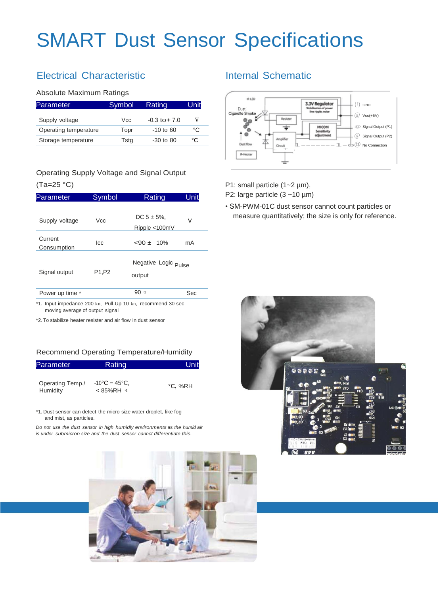# SMART Dust Sensor Specifications

# Electrical Characteristic

#### Absolute Maximum Ratings

| Parameter             | Symbol | Rating           | Unit |
|-----------------------|--------|------------------|------|
| Supply voltage        | Vcc.   | $-0.3$ to $+7.0$ | v    |
| Operating temperature | Topr   | $-10$ to 60      | °C   |
| Storage temperature   | Tstg   | $-30$ to 80      | °C   |

#### Operating Supply Voltage and Signal Output (Ta=25 °C)

| Parameter              | Symbol     | Rating                                    | Unit |
|------------------------|------------|-------------------------------------------|------|
| Supply voltage         | <b>Vcc</b> | $DC 5 \pm 5\%$<br>Ripple <100mV           | v    |
| Current<br>Consumption | lcc        | $<90 \pm 10\%$                            | mA   |
| Signal output          | P1,P2      | Negative Logic <sub>Pulse</sub><br>output |      |
| Power up time *        |            | 90x2                                      | Sec  |
|                        |            |                                           |      |

\*1. Input impedance 200 kn, Pull-Up 10 kn, recommend 30 sec moving average of output signal

\*2. To stabilize heater resister and air flow in dust sensor

#### Recommend Operating Temperature/Humidity

| Parameter                    | Rating                                                | Unit    |
|------------------------------|-------------------------------------------------------|---------|
| Operating Temp./<br>Humidity | $-10^{\circ}$ C – 45 $^{\circ}$ C.<br>$< 85\%$ RH $1$ | °C, %RH |

\*1. Dust sensor can detect the micro size water droplet, like fog and mist, as particles.

*Do not use the dust sensor in high humidly environments* as *the humid air is under submicron size and the dust sensor cannot differentiate this.*



#### Internal Schematic



P1: small particle (1~2 µm),

P2: large particle (3 ~10 µm)

• SM-PWM-01C dust sensor cannot count particles or measure quantitatively; the size is only for reference.

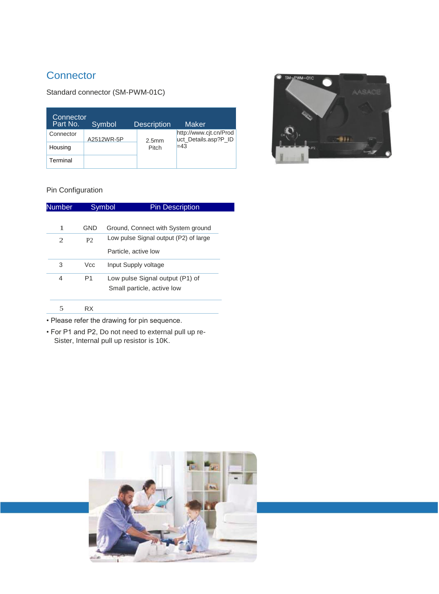### **Connector**

#### Standard connector (SM-PWM-01C)

| Connector<br>Part No. | Symbol     | <b>Description</b> | Maker                                          |
|-----------------------|------------|--------------------|------------------------------------------------|
| Connector             | A2512WR-5P | 2.5 <sub>mm</sub>  | http://www.cjt.cn/Prod<br>uct Details.asp?P ID |
| Housing               |            | Pitch              | $=43$                                          |
| Terminal              |            |                    |                                                |



#### Pin Configuration

| <b>Number</b> |                | Symbol<br><b>Pin Description</b>      |
|---------------|----------------|---------------------------------------|
|               |                |                                       |
| 1             | <b>GND</b>     | Ground, Connect with System ground    |
| 2             | P <sub>2</sub> | Low pulse Signal output (P2) of large |
|               |                | Particle, active low                  |
| 3             | <b>Vcc</b>     | Input Supply voltage                  |
| 4             | P <sub>1</sub> | Low pulse Signal output (P1) of       |
|               |                | Small particle, active low            |
| 5             | <b>RX</b>      |                                       |
|               |                |                                       |

• Please refer the drawing for pin sequence.

• For P1 and P2, Do not need to external pull up re-Sister, Internal pull up resistor is 10K.